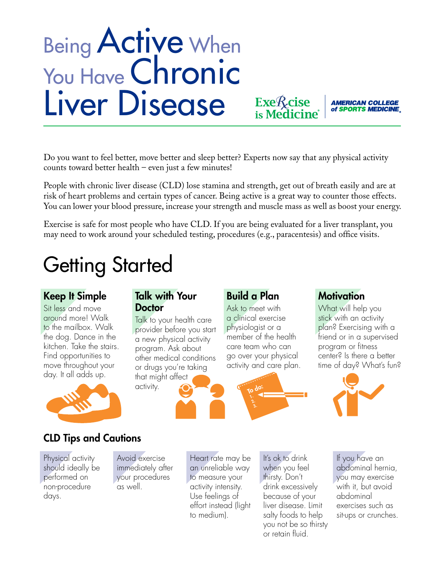# Being Active When You Have Chronic Liver Disease

Do you want to feel better, move better and sleep better? Experts now say that any physical activity counts toward better health – even just a few minutes!

People with chronic liver disease (CLD) lose stamina and strength, get out of breath easily and are at risk of heart problems and certain types of cancer. Being active is a great way to counter those effects. You can lower your blood pressure, increase your strength and muscle mass as well as boost your energy.

Exercise is safe for most people who have CLD. If you are being evaluated for a liver transplant, you may need to work around your scheduled testing, procedures (e.g., paracentesis) and office visits.

### Getting Started

#### Keep It Simple

Sit less and move around more! Walk to the mailbox. Walk the dog. Dance in the kitchen. Take the stairs. Find opportunities to move throughout your day. It all adds up.



#### Talk with Your **Doctor**

Talk to your health care provider before you start a new physical activity program. Ask about other medical conditions or drugs you're taking that might affect activity.

#### Build a Plan

Ask to meet with a clinical exercise physiologist or a member of the health care team who can go over your physical activity and care plan.

Exe<sub>R</sub>cise<br>is Medicin



#### **Motivation**

What will help you stick with an activity plan? Exercising with a friend or in a supervised program or fitness center? Is there a better time of day? What's fun?

**AMERICAN COLLEGE** of SPORTS MEDICINE



#### CLD Tips and Cautions

Physical activity should ideally be performed on non-procedure days.

Avoid exercise immediately after your procedures as well.

Heart rate may be an unreliable way to measure your activity intensity. Use feelings of effort instead (light to medium).

It's ok to drink when you feel thirsty. Don't drink excessively because of your liver disease. Limit salty foods to help you not be so thirsty or retain fluid.

If you have an abdominal hernia, you may exercise with it, but avoid abdominal exercises such as sit-ups or crunches.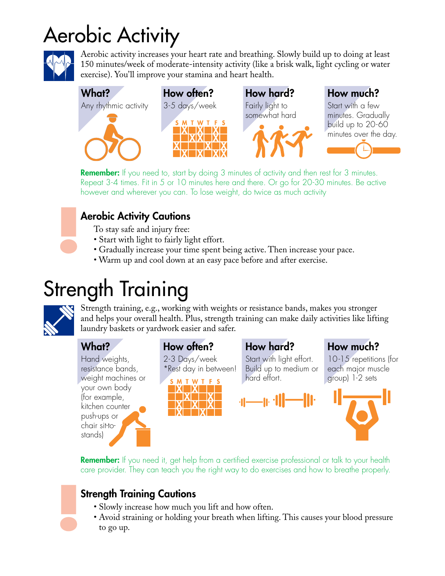### Aerobic Activity



Aerobic activity increases your heart rate and breathing. Slowly build up to doing at least 150 minutes/week of moderate-intensity activity (like a brisk walk, light cycling or water exercise). You'll improve your stamina and heart health.



**Remember:** If you need to, start by doing 3 minutes of activity and then rest for 3 minutes. Repeat 3-4 times. Fit in 5 or 10 minutes here and there. Or go for 20-30 minutes. Be active however and wherever you can. To lose weight, do twice as much activity

#### Aerobic Activity Cautions

To stay safe and injury free:

- Start with light to fairly light effort.
- Gradually increase your time spent being active. Then increase your pace.
- Warm up and cool down at an easy pace before and after exercise.

### Strength Training



Strength training, e.g., working with weights or resistance bands, makes you stronger and helps your overall health. Plus, strength training can make daily activities like lifting laundry baskets or yardwork easier and safer.

#### What?

Hand weights, resistance bands, weight machines or your own body (for example, kitchen counter push-ups or chair sit-tostands)

#### How often?

2-3 Days/week \*Rest day in between!



How hard?

Start with light effort. Build up to medium or hard effort.





10-15 repetitions (for each major muscle group) 1-2 sets



**Remember:** If you need it, get help from a certified exercise professional or talk to your health care provider. They can teach you the right way to do exercises and how to breathe properly.

#### Strength Training Cautions

- Slowly increase how much you lift and how often.
- Avoid straining or holding your breath when lifting. This causes your blood pressure to go up.